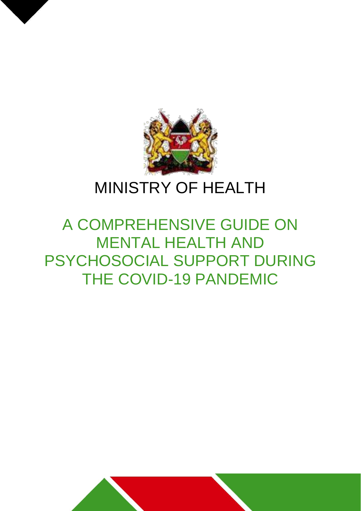

# MINISTRY OF HEALTH

# A COMPREHENSIVE GUIDE ON MENTAL HEALTH AND PSYCHOSOCIAL SUPPORT DURING THE COVID-19 PANDEMIC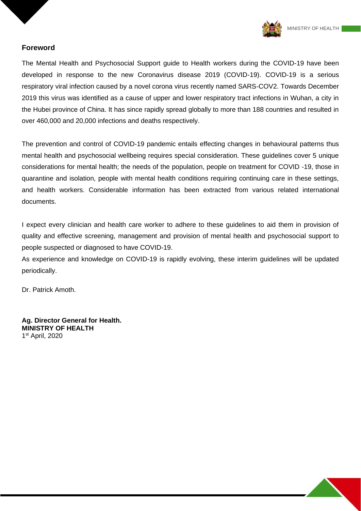

#### **Foreword**

The Mental Health and Psychosocial Support guide to Health workers during the COVID-19 have been developed in response to the new Coronavirus disease 2019 (COVID-19). COVID-19 is a serious respiratory viral infection caused by a novel corona virus recently named SARS-COV2. Towards December 2019 this virus was identified as a cause of upper and lower respiratory tract infections in Wuhan, a city in the Hubei province of China. It has since rapidly spread globally to more than 188 countries and resulted in over 460,000 and 20,000 infections and deaths respectively.

The prevention and control of COVID-19 pandemic entails effecting changes in behavioural patterns thus mental health and psychosocial wellbeing requires special consideration. These guidelines cover 5 unique considerations for mental health; the needs of the population, people on treatment for COVID -19, those in quarantine and isolation, people with mental health conditions requiring continuing care in these settings, and health workers. Considerable information has been extracted from various related international documents.

I expect every clinician and health care worker to adhere to these guidelines to aid them in provision of quality and effective screening, management and provision of mental health and psychosocial support to people suspected or diagnosed to have COVID-19.

As experience and knowledge on COVID-19 is rapidly evolving, these interim guidelines will be updated periodically.

Dr. Patrick Amoth.

**Ag. Director General for Health. MINISTRY OF HEALTH** 1 st April, 2020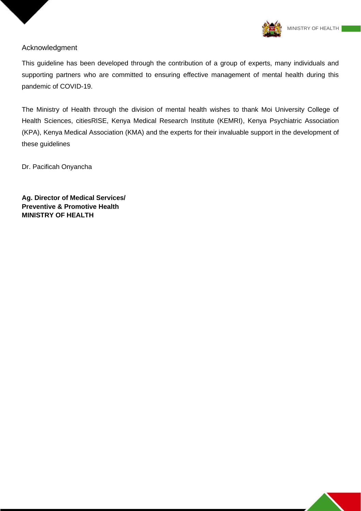

#### Acknowledgment

This guideline has been developed through the contribution of a group of experts, many individuals and supporting partners who are committed to ensuring effective management of mental health during this pandemic of COVID-19.

The Ministry of Health through the division of mental health wishes to thank Moi University College of Health Sciences, citiesRISE, Kenya Medical Research Institute (KEMRI), Kenya Psychiatric Association (KPA), Kenya Medical Association (KMA) and the experts for their invaluable support in the development of these guidelines

Dr. Pacificah Onyancha

**Ag. Director of Medical Services/ Preventive & Promotive Health MINISTRY OF HEALTH**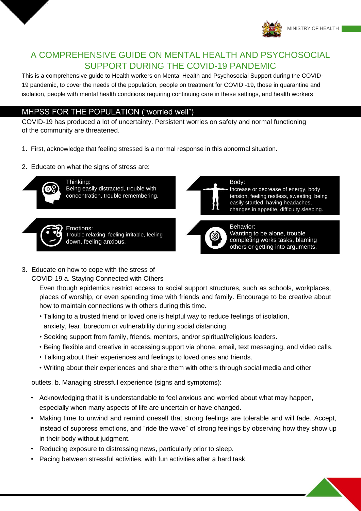

## A COMPREHENSIVE GUIDE ON MENTAL HEALTH AND PSYCHOSOCIAL SUPPORT DURING THE COVID-19 PANDEMIC

This is a comprehensive guide to Health workers on Mental Health and Psychosocial Support during the COVID-19 pandemic, to cover the needs of the population, people on treatment for COVID -19, those in quarantine and isolation, people with mental health conditions requiring continuing care in these settings, and health workers

### MHPSS FOR THE POPULATION ("worried well")

COVID-19 has produced a lot of uncertainty. Persistent worries on safety and normal functioning of the community are threatened.

- 1. First, acknowledge that feeling stressed is a normal response in this abnormal situation.
- 2. Educate on what the signs of stress are:



Thinking: Being easily distracted, trouble with concentration, trouble remembering.



Emotions: Trouble relaxing, feeling irritable, feeling down, feeling anxious.



#### Body:

Increase or decrease of energy, body tension, feeling restless, sweating, being easily startled, having headaches, changes in appetite, difficulty sleeping.



Wanting to be alone, trouble completing works tasks, blaming others or getting into arguments.

3. Educate on how to cope with the stress of COVID-19 a. Staying Connected with Others

> Even though epidemics restrict access to social support structures, such as schools, workplaces, places of worship, or even spending time with friends and family. Encourage to be creative about how to maintain connections with others during this time.

- Talking to a trusted friend or loved one is helpful way to reduce feelings of isolation, anxiety, fear, boredom or vulnerability during social distancing.
- Seeking support from family, friends, mentors, and/or spiritual/religious leaders.
- Being flexible and creative in accessing support via phone, email, text messaging, and video calls.
- Talking about their experiences and feelings to loved ones and friends.
- Writing about their experiences and share them with others through social media and other

outlets. b. Managing stressful experience (signs and symptoms):

- Acknowledging that it is understandable to feel anxious and worried about what may happen, especially when many aspects of life are uncertain or have changed.
- Making time to unwind and remind oneself that strong feelings are tolerable and will fade. Accept, instead of suppress emotions, and "ride the wave" of strong feelings by observing how they show up in their body without judgment.
- Reducing exposure to distressing news, particularly prior to sleep.
- Pacing between stressful activities, with fun activities after a hard task.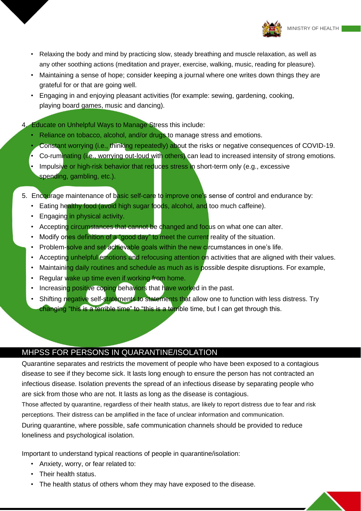

- Relaxing the body and mind by practicing slow, steady breathing and muscle relaxation, as well as any other soothing actions (meditation and prayer, exercise, walking, music, reading for pleasure).
- Maintaining a sense of hope; consider keeping a journal where one writes down things they are grateful for or that are going well.
- Engaging in and enjoying pleasant activities (for example: sewing, gardening, cooking, playing board games, music and dancing).

4. Educate on Unhelpful Ways to Manage Stress this include:

- Reliance on tobacco, alcohol, and/or drugs to manage stress and emotions.
- Constant worrying (i.e., thinking repeatedly) about the risks or negative consequences of COVID-19.
- Co-ruminating (i.e., worrying out-loud with others) can lead to increased intensity of strong emotions.
- Impulsive or high-risk behavior that reduces stress in short-term only (e.g., excessive spending, gambling, etc.).
- 5. Encourage maintenance of basic self-care to improve one's sense of control and endurance by:
	- Eating healthy food (avoid high sugar foods, alcohol, and too much caffeine).
	- Engaging in physical activity.
	- Accepting circumstances that cannot be changed and focus on what one can alter.
	- Modify ones definition of a "good day" to meet the current reality of the situation.
	- Problem-solve and set achievable goals within the new circumstances in one's life.
	- Accepting unhelpful emotions and refocusing attention on activities that are aligned with their values.
	- Maintaining daily routines and schedule as much as is possible despite disruptions. For example,
	- Regular wake up time even if working from home.
	- Increasing positive coping behaviors that have worked in the past.
	- Shifting negative self-statements to statements that allow one to function with less distress. Try changing "this is a terrible time" to "this is a terrible time, but I can get through this.

# MHPSS FOR PERSONS IN QUARANTINE/ISOLATION

Quarantine separates and restricts the movement of people who have been exposed to a contagious disease to see if they become sick. It lasts long enough to ensure the person has not contracted an infectious disease. Isolation prevents the spread of an infectious disease by separating people who are sick from those who are not. It lasts as long as the disease is contagious.

Those affected by quarantine, regardless of their health status, are likely to report distress due to fear and risk perceptions. Their distress can be amplified in the face of unclear information and communication.

During quarantine, where possible, safe communication channels should be provided to reduce loneliness and psychological isolation.

Important to understand typical reactions of people in quarantine/isolation:

- Anxiety, worry, or fear related to:
- Their health status.
- The health status of others whom they may have exposed to the disease.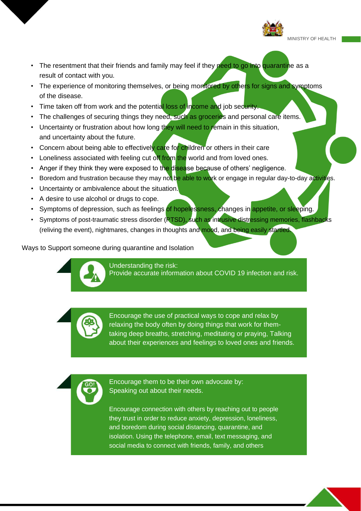

MINISTRY OF HEALTH

- The resentment that their friends and family may feel if they need to go into quarantine as a result of contact with you.
- The experience of monitoring themselves, or being monitored by others for signs and symptoms of the disease.
- Time taken off from work and the potential loss of income and job security.
- The challenges of securing things they need, such as groceries and personal care items.
- Uncertainty or frustration about how long they will need to remain in this situation, and uncertainty about the future.
- Concern about being able to effectively care for children or others in their care
- Loneliness associated with feeling cut off from the world and from loved ones.
- Anger if they think they were exposed to the disease because of others' negligence.
- Boredom and frustration because they may not be able to work or engage in regular day-to-day activities.
- Uncertainty or ambivalence about the situation.
- A desire to use alcohol or drugs to cope.
- Symptoms of depression, such as feelings of hopelessness, changes in appetite, or sleeping.
- Symptoms of post-traumatic stress disorder (RTSD), such as intrusive distressing memories, flashbacks (reliving the event), nightmares, changes in thoughts and mood, and being easily startled.

Ways to Support someone during quarantine and Isolation



Understanding the risk: Provide accurate information about COVID 19 infection and risk.



Encourage the use of practical ways to cope and relax by relaxing the body often by doing things that work for themtaking deep breaths, stretching, meditating or praying, Talking about their experiences and feelings to loved ones and friends.

Encourage them to be their own advocate by: Speaking out about their needs.

Encourage connection with others by reaching out to people they trust in order to reduce anxiety, depression, loneliness, and boredom during social distancing, quarantine, and isolation. Using the telephone, email, text messaging, and social media to connect with friends, family, and others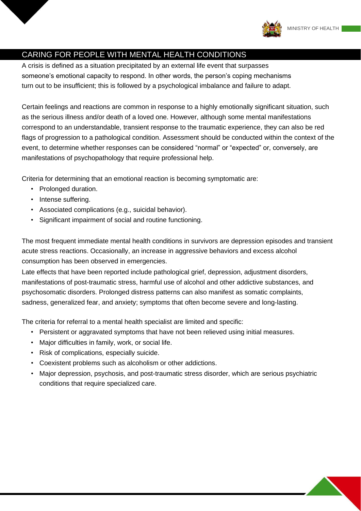

# CARING FOR PEOPLE WITH MENTAL HEALTH CONDITIONS

A crisis is defined as a situation precipitated by an external life event that surpasses someone's emotional capacity to respond. In other words, the person's coping mechanisms turn out to be insufficient; this is followed by a psychological imbalance and failure to adapt.

Certain feelings and reactions are common in response to a highly emotionally significant situation, such as the serious illness and/or death of a loved one. However, although some mental manifestations correspond to an understandable, transient response to the traumatic experience, they can also be red flags of progression to a pathological condition. Assessment should be conducted within the context of the event, to determine whether responses can be considered "normal" or "expected" or, conversely, are manifestations of psychopathology that require professional help.

Criteria for determining that an emotional reaction is becoming symptomatic are:

- Prolonged duration.
- Intense suffering.
- Associated complications (e.g., suicidal behavior).
- Significant impairment of social and routine functioning.

The most frequent immediate mental health conditions in survivors are depression episodes and transient acute stress reactions. Occasionally, an increase in aggressive behaviors and excess alcohol consumption has been observed in emergencies.

Late effects that have been reported include pathological grief, depression, adjustment disorders, manifestations of post-traumatic stress, harmful use of alcohol and other addictive substances, and psychosomatic disorders. Prolonged distress patterns can also manifest as somatic complaints, sadness, generalized fear, and anxiety; symptoms that often become severe and long-lasting.

The criteria for referral to a mental health specialist are limited and specific:

- Persistent or aggravated symptoms that have not been relieved using initial measures.
- Major difficulties in family, work, or social life.
- Risk of complications, especially suicide.
- Coexistent problems such as alcoholism or other addictions.
- Major depression, psychosis, and post-traumatic stress disorder, which are serious psychiatric conditions that require specialized care.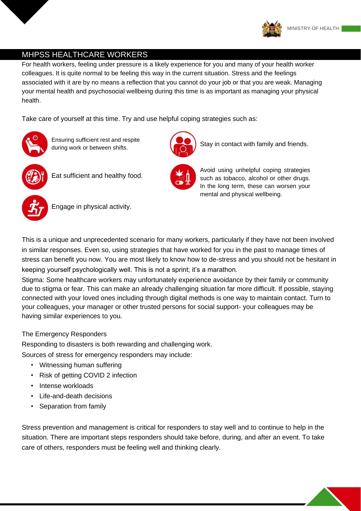

## MHPSS HEALTHCARE WORKERS

For health workers, feeling under pressure is a likely experience for you and many of your health worker colleagues. It is quite normal to be feeling this way in the current situation. Stress and the feelings associated with it are by no means a reflection that you cannot do your job or that you are weak. Managing your mental health and psychosocial wellbeing during this time is as important as managing your physical health.

Take care of yourself at this time. Try and use helpful coping strategies such as:



Ensuring sufficient rest and respite during work or between shifts.



Eat sufficient and healthy food.



Stay in contact with family and friends.



Avoid using unhelpful coping strategies such as tobacco, alcohol or other drugs. In the long term, these can worsen your mental and physical wellbeing.



Engage in physical activity.

This is a unique and unprecedented scenario for many workers, particularly if they have not been involved in similar responses. Even so, using strategies that have worked for you in the past to manage times of stress can benefit you now. You are most likely to know how to de-stress and you should not be hesitant in keeping yourself psychologically well. This is not a sprint; it's a marathon.

Stigma: Some healthcare workers may unfortunately experience avoidance by their family or community due to stigma or fear. This can make an already challenging situation far more difficult. If possible, staying connected with your loved ones including through digital methods is one way to maintain contact. Turn to your colleagues, your manager or other trusted persons for social support- your colleagues may be having similar experiences to you.

#### The Emergency Responders

Responding to disasters is both rewarding and challenging work.

Sources of stress for emergency responders may include:

- Witnessing human suffering
- Risk of getting COVID 2 infection
- Intense workloads
- Life-and-death decisions
- Separation from family

Stress prevention and management is critical for responders to stay well and to continue to help in the situation. There are important steps responders should take before, during, and after an event. To take care of others, responders must be feeling well and thinking clearly.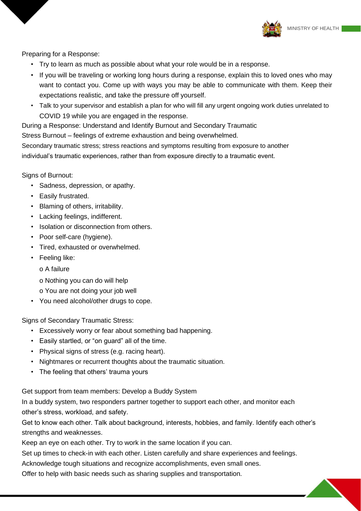

Preparing for a Response:

- Try to learn as much as possible about what your role would be in a response.
- If you will be traveling or working long hours during a response, explain this to loved ones who may want to contact you. Come up with ways you may be able to communicate with them. Keep their expectations realistic, and take the pressure off yourself.
- Talk to your supervisor and establish a plan for who will fill any urgent ongoing work duties unrelated to COVID 19 while you are engaged in the response.

During a Response: Understand and Identify Burnout and Secondary Traumatic

Stress Burnout – feelings of extreme exhaustion and being overwhelmed.

Secondary traumatic stress; stress reactions and symptoms resulting from exposure to another

individual's traumatic experiences, rather than from exposure directly to a traumatic event.

Signs of Burnout:

- Sadness, depression, or apathy.
- Easily frustrated.
- Blaming of others, irritability.
- Lacking feelings, indifferent.
- Isolation or disconnection from others.
- Poor self-care (hygiene).
- Tired, exhausted or overwhelmed.
- Feeling like:
	- o A failure
	- o Nothing you can do will help
	- o You are not doing your job well
- You need alcohol/other drugs to cope.

Signs of Secondary Traumatic Stress:

- Excessively worry or fear about something bad happening.
- Easily startled, or "on guard" all of the time.
- Physical signs of stress (e.g. racing heart).
- Nightmares or recurrent thoughts about the traumatic situation.
- The feeling that others' trauma yours

Get support from team members: Develop a Buddy System

In a buddy system, two responders partner together to support each other, and monitor each other's stress, workload, and safety.

Get to know each other. Talk about background, interests, hobbies, and family. Identify each other's strengths and weaknesses.

Keep an eye on each other. Try to work in the same location if you can.

Set up times to check-in with each other. Listen carefully and share experiences and feelings.

Acknowledge tough situations and recognize accomplishments, even small ones.

Offer to help with basic needs such as sharing supplies and transportation.